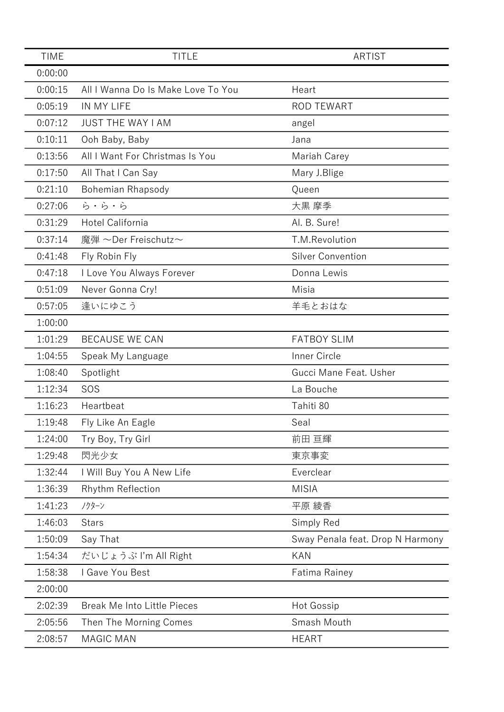| <b>TIME</b> | <b>TITLE</b>                       | <b>ARTIST</b>                    |
|-------------|------------------------------------|----------------------------------|
| 0:00:00     |                                    |                                  |
| 0:00:15     | All I Wanna Do Is Make Love To You | Heart                            |
| 0:05:19     | IN MY LIFE                         | <b>ROD TEWART</b>                |
| 0:07:12     | <b>JUST THE WAY I AM</b>           | angel                            |
| 0:10:11     | Ooh Baby, Baby                     | Jana                             |
| 0:13:56     | All I Want For Christmas Is You    | Mariah Carey                     |
| 0:17:50     | All That I Can Say                 | Mary J.Blige                     |
| 0:21:10     | Bohemian Rhapsody                  | Queen                            |
| 0:27:06     | ら・ら・ら                              | 大黒 摩季                            |
| 0:31:29     | Hotel California                   | Al. B. Sure!                     |
| 0:37:14     | 魔弾 ~Der Freischutz~                | T.M.Revolution                   |
| 0:41:48     | Fly Robin Fly                      | <b>Silver Convention</b>         |
| 0:47:18     | I Love You Always Forever          | Donna Lewis                      |
| 0:51:09     | Never Gonna Cry!                   | Misia                            |
| 0:57:05     | 逢いにゆこう                             | 羊毛とおはな                           |
| 1:00:00     |                                    |                                  |
| 1:01:29     | <b>BECAUSE WE CAN</b>              | <b>FATBOY SLIM</b>               |
| 1:04:55     | Speak My Language                  | Inner Circle                     |
| 1:08:40     | Spotlight                          | Gucci Mane Feat. Usher           |
| 1:12:34     | SOS                                | La Bouche                        |
| 1:16:23     | Heartbeat                          | Tahiti 80                        |
| 1:19:48     | Fly Like An Eagle                  | Seal                             |
| 1:24:00     | Try Boy, Try Girl                  | 前田 亘輝                            |
| 1:29:48     | 閃光少女                               | 東京事変                             |
| 1:32:44     | I Will Buy You A New Life          | Everclear                        |
| 1:36:39     | Rhythm Reflection                  | <b>MISIA</b>                     |
| 1:41:23     | ノクターン                              | 平原 綾香                            |
| 1:46:03     | <b>Stars</b>                       | Simply Red                       |
| 1:50:09     | Say That                           | Sway Penala feat. Drop N Harmony |
| 1:54:34     | だいじょうぶ I'm All Right               | <b>KAN</b>                       |
| 1:58:38     | I Gave You Best                    | <b>Fatima Rainey</b>             |
| 2:00:00     |                                    |                                  |
| 2:02:39     | <b>Break Me Into Little Pieces</b> | Hot Gossip                       |
| 2:05:56     | Then The Morning Comes             | Smash Mouth                      |
| 2:08:57     | <b>MAGIC MAN</b>                   | <b>HEART</b>                     |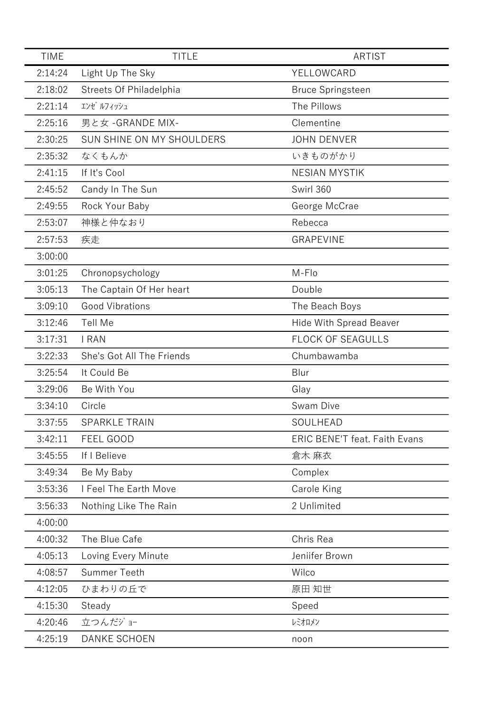| <b>TIME</b> | <b>TITLE</b>              | <b>ARTIST</b>                        |
|-------------|---------------------------|--------------------------------------|
| 2:14:24     | Light Up The Sky          | YELLOWCARD                           |
| 2:18:02     | Streets Of Philadelphia   | <b>Bruce Springsteen</b>             |
| 2:21:14     | エンゼ ルフィッシュ                | The Pillows                          |
| 2:25:16     | 男と女 - GRANDE MIX-         | Clementine                           |
| 2:30:25     | SUN SHINE ON MY SHOULDERS | <b>JOHN DENVER</b>                   |
| 2:35:32     | なくもんか                     | いきものがかり                              |
| 2:41:15     | If It's Cool              | <b>NESIAN MYSTIK</b>                 |
| 2:45:52     | Candy In The Sun          | Swirl 360                            |
| 2:49:55     | Rock Your Baby            | George McCrae                        |
| 2:53:07     | 神様と仲なおり                   | Rebecca                              |
| 2:57:53     | 疾走                        | <b>GRAPEVINE</b>                     |
| 3:00:00     |                           |                                      |
| 3:01:25     | Chronopsychology          | M-Flo                                |
| 3:05:13     | The Captain Of Her heart  | Double                               |
| 3:09:10     | <b>Good Vibrations</b>    | The Beach Boys                       |
| 3:12:46     | Tell Me                   | <b>Hide With Spread Beaver</b>       |
| 3:17:31     | <b>I RAN</b>              | FLOCK OF SEAGULLS                    |
| 3:22:33     | She's Got All The Friends | Chumbawamba                          |
| 3:25:54     | It Could Be               | Blur                                 |
| 3:29:06     | Be With You               | Glay                                 |
| 3:34:10     | Circle                    | Swam Dive                            |
| 3:37:55     | <b>SPARKLE TRAIN</b>      | SOULHEAD                             |
| 3:42:11     | FEEL GOOD                 | <b>ERIC BENE'T feat. Faith Evans</b> |
| 3:45:55     | If I Believe              | 倉木 麻衣                                |
| 3:49:34     | Be My Baby                | Complex                              |
| 3:53:36     | I Feel The Earth Move     | Carole King                          |
| 3:56:33     | Nothing Like The Rain     | 2 Unlimited                          |
| 4:00:00     |                           |                                      |
| 4:00:32     | The Blue Cafe             | Chris Rea                            |
| 4:05:13     | Loving Every Minute       | Jeniifer Brown                       |
| 4:08:57     | <b>Summer Teeth</b>       | Wilco                                |
| 4:12:05     | ひまわりの丘で                   | 原田 知世                                |
| 4:15:30     | Steady                    | Speed                                |
| 4:20:46     | 立つんだジョー                   | レミオロメン                               |
| 4:25:19     | <b>DANKE SCHOEN</b>       | noon                                 |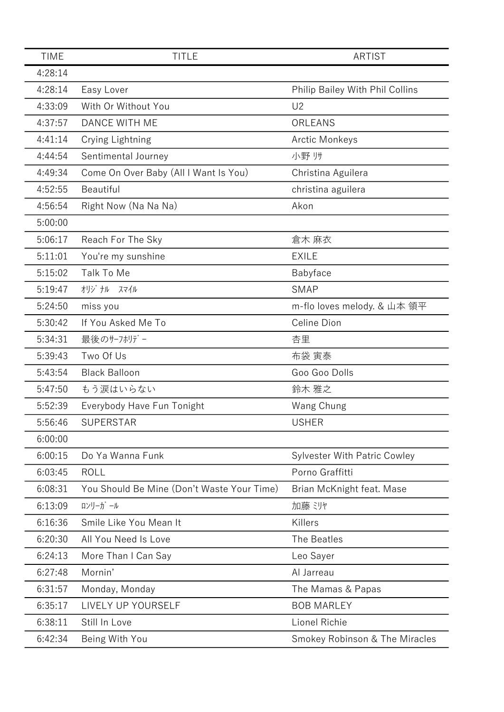| <b>TIME</b> | <b>TITLE</b>                               | <b>ARTIST</b>                       |
|-------------|--------------------------------------------|-------------------------------------|
| 4:28:14     |                                            |                                     |
| 4:28:14     | Easy Lover                                 | Philip Bailey With Phil Collins     |
| 4:33:09     | With Or Without You                        | U <sub>2</sub>                      |
| 4:37:57     | <b>DANCE WITH ME</b>                       | ORLEANS                             |
| 4:41:14     | Crying Lightning                           | <b>Arctic Monkeys</b>               |
| 4:44:54     | Sentimental Journey                        | 小野 リサ                               |
| 4:49:34     | Come On Over Baby (All I Want Is You)      | Christina Aguilera                  |
| 4:52:55     | Beautiful                                  | christina aguilera                  |
| 4:56:54     | Right Now (Na Na Na)                       | Akon                                |
| 5:00:00     |                                            |                                     |
| 5:06:17     | Reach For The Sky                          | 倉木 麻衣                               |
| 5:11:01     | You're my sunshine                         | <b>EXILE</b>                        |
| 5:15:02     | Talk To Me                                 | Babyface                            |
| 5:19:47     | オリジナル<br>スマイル                              | <b>SMAP</b>                         |
| 5:24:50     | miss you                                   | m-flo loves melody. & 山本 領平         |
| 5:30:42     | If You Asked Me To                         | Celine Dion                         |
| 5:34:31     | 最後のサーフホリデー                                 | 杏里                                  |
| 5:39:43     | Two Of Us                                  | 布袋 寅泰                               |
| 5:43:54     | <b>Black Balloon</b>                       | Goo Goo Dolls                       |
| 5:47:50     | もう涙はいらない                                   | 鈴木 雅之                               |
| 5:52:39     | Everybody Have Fun Tonight                 | Wang Chung                          |
| 5:56:46     | <b>SUPERSTAR</b>                           | <b>USHER</b>                        |
| 6:00:00     |                                            |                                     |
| 6:00:15     | Do Ya Wanna Funk                           | <b>Sylvester With Patric Cowley</b> |
| 6:03:45     | <b>ROLL</b>                                | Porno Graffitti                     |
| 6:08:31     | You Should Be Mine (Don't Waste Your Time) | Brian McKnight feat. Mase           |
| 6:13:09     | ロンリーガール                                    | 加藤 ミリヤ                              |
| 6:16:36     | Smile Like You Mean It                     | Killers                             |
| 6:20:30     | All You Need Is Love                       | The Beatles                         |
| 6:24:13     | More Than I Can Say                        | Leo Sayer                           |
| 6:27:48     | Mornin'                                    | Al Jarreau                          |
| 6:31:57     | Monday, Monday                             | The Mamas & Papas                   |
| 6:35:17     | LIVELY UP YOURSELF                         | <b>BOB MARLEY</b>                   |
| 6:38:11     | Still In Love                              | Lionel Richie                       |
| 6:42:34     | Being With You                             | Smokey Robinson & The Miracles      |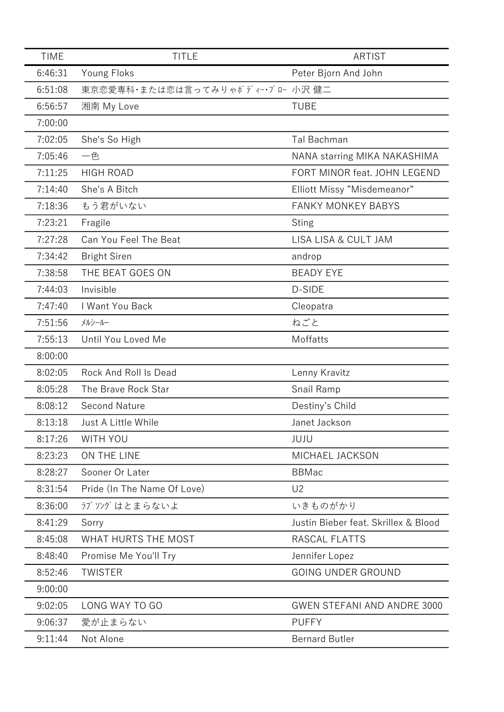| <b>TIME</b> | <b>TITLE</b>                     | <b>ARTIST</b>                        |
|-------------|----------------------------------|--------------------------------------|
| 6:46:31     | Young Floks                      | Peter Bjorn And John                 |
| 6:51:08     | 東京恋愛専科・または恋は言ってみりゃがディー・ブロー 小沢 健二 |                                      |
| 6:56:57     | 湘南 My Love                       | <b>TUBE</b>                          |
| 7:00:00     |                                  |                                      |
| 7:02:05     | She's So High                    | Tal Bachman                          |
| 7:05:46     | 一色                               | NANA starring MIKA NAKASHIMA         |
| 7:11:25     | <b>HIGH ROAD</b>                 | FORT MINOR feat. JOHN LEGEND         |
| 7:14:40     | She's A Bitch                    | Elliott Missy "Misdemeanor"          |
| 7:18:36     | もう君がいない                          | <b>FANKY MONKEY BABYS</b>            |
| 7:23:21     | Fragile                          | <b>Sting</b>                         |
| 7:27:28     | Can You Feel The Beat            | <b>LISA LISA &amp; CULT JAM</b>      |
| 7:34:42     | <b>Bright Siren</b>              | androp                               |
| 7:38:58     | THE BEAT GOES ON                 | <b>BEADY EYE</b>                     |
| 7:44:03     | Invisible                        | D-SIDE                               |
| 7:47:40     | I Want You Back                  | Cleopatra                            |
| 7:51:56     | メルシールー                           | ねごと                                  |
| 7:55:13     | Until You Loved Me               | Moffatts                             |
| 8:00:00     |                                  |                                      |
| 8:02:05     | Rock And Roll Is Dead            | Lenny Kravitz                        |
| 8:05:28     | The Brave Rock Star              | Snail Ramp                           |
| 8:08:12     | <b>Second Nature</b>             | Destiny's Child                      |
| 8:13:18     | Just A Little While              | Janet Jackson                        |
| 8:17:26     | WITH YOU                         | JUJU                                 |
| 8:23:23     | ON THE LINE                      | MICHAEL JACKSON                      |
| 8:28:27     | Sooner Or Later                  | <b>BBMac</b>                         |
| 8:31:54     | Pride (In The Name Of Love)      | U <sub>2</sub>                       |
| 8:36:00     | ラブソングはとまらないよ                     | いきものがかり                              |
| 8:41:29     | Sorry                            | Justin Bieber feat, Skrillex & Blood |
| 8:45:08     | WHAT HURTS THE MOST              | RASCAL FLATTS                        |
| 8:48:40     | Promise Me You'll Try            | Jennifer Lopez                       |
| 8:52:46     | <b>TWISTER</b>                   | <b>GOING UNDER GROUND</b>            |
| 9:00:00     |                                  |                                      |
| 9:02:05     | LONG WAY TO GO                   | <b>GWEN STEFANI AND ANDRE 3000</b>   |
| 9:06:37     | 愛が止まらない                          | <b>PUFFY</b>                         |
| 9:11:44     | Not Alone                        | <b>Bernard Butler</b>                |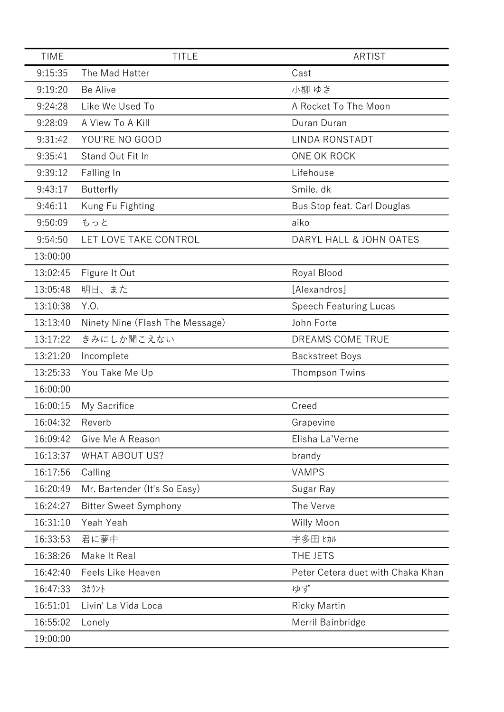| <b>TIME</b> | <b>TITLE</b>                    | <b>ARTIST</b>                     |
|-------------|---------------------------------|-----------------------------------|
| 9:15:35     | The Mad Hatter                  | Cast                              |
| 9:19:20     | Be Alive                        | 小柳 ゆき                             |
| 9:24:28     | Like We Used To                 | A Rocket To The Moon              |
| 9:28:09     | A View To A Kill                | Duran Duran                       |
| 9:31:42     | YOU'RE NO GOOD                  | LINDA RONSTADT                    |
| 9:35:41     | Stand Out Fit In                | ONE OK ROCK                       |
| 9:39:12     | Falling In                      | Lifehouse                         |
| 9:43:17     | <b>Butterfly</b>                | Smile. dk                         |
| 9:46:11     | Kung Fu Fighting                | Bus Stop feat. Carl Douglas       |
| 9:50:09     | もっと                             | aiko                              |
| 9:54:50     | LET LOVE TAKE CONTROL           | DARYL HALL & JOHN OATES           |
| 13:00:00    |                                 |                                   |
| 13:02:45    | Figure It Out                   | Royal Blood                       |
| 13:05:48    | 明日、また                           | [Alexandros]                      |
| 13:10:38    | Y.O.                            | <b>Speech Featuring Lucas</b>     |
| 13:13:40    | Ninety Nine (Flash The Message) | John Forte                        |
| 13:17:22    | きみにしか聞こえない                      | DREAMS COME TRUE                  |
| 13:21:20    | Incomplete                      | <b>Backstreet Boys</b>            |
| 13:25:33    | You Take Me Up                  | Thompson Twins                    |
| 16:00:00    |                                 |                                   |
| 16:00:15    | My Sacrifice                    | Creed                             |
| 16:04:32    | Reverb                          | Grapevine                         |
| 16:09:42    | Give Me A Reason                | Elisha La'Verne                   |
| 16:13:37    | <b>WHAT ABOUT US?</b>           | brandy                            |
| 16:17:56    | Calling                         | <b>VAMPS</b>                      |
| 16:20:49    | Mr. Bartender (It's So Easy)    | Sugar Ray                         |
| 16:24:27    | <b>Bitter Sweet Symphony</b>    | The Verve                         |
| 16:31:10    | Yeah Yeah                       | Willy Moon                        |
| 16:33:53    | 君に夢中                            | 宇多田 ヒカル                           |
| 16:38:26    | Make It Real                    | THE JETS                          |
| 16:42:40    | <b>Feels Like Heaven</b>        | Peter Cetera duet with Chaka Khan |
| 16:47:33    | 3ヵウント                           | ゆず                                |
| 16:51:01    | Livin' La Vida Loca             | <b>Ricky Martin</b>               |
| 16:55:02    | Lonely                          | Merril Bainbridge                 |
| 19:00:00    |                                 |                                   |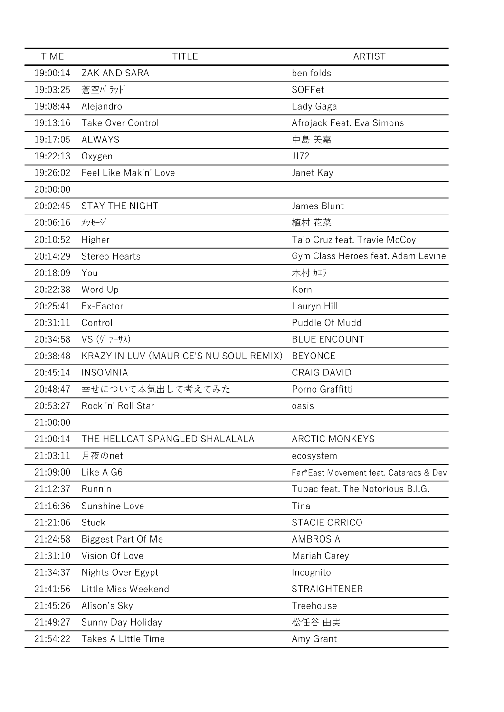| <b>TIME</b> | <b>TITLE</b>                           | <b>ARTIST</b>                          |
|-------------|----------------------------------------|----------------------------------------|
| 19:00:14    | <b>ZAK AND SARA</b>                    | ben folds                              |
| 19:03:25    | 蒼空バラッド                                 | SOFFet                                 |
| 19:08:44    | Alejandro                              | Lady Gaga                              |
| 19:13:16    | <b>Take Over Control</b>               | Afrojack Feat. Eva Simons              |
| 19:17:05    | <b>ALWAYS</b>                          | 中島 美嘉                                  |
| 19:22:13    | Oxygen                                 | JJ72                                   |
| 19:26:02    | Feel Like Makin' Love                  | Janet Kay                              |
| 20:00:00    |                                        |                                        |
| 20:02:45    | <b>STAY THE NIGHT</b>                  | James Blunt                            |
| 20:06:16    | メッセージ                                  | 植村 花菜                                  |
| 20:10:52    | Higher                                 | Taio Cruz feat. Travie McCoy           |
| 20:14:29    | <b>Stereo Hearts</b>                   | Gym Class Heroes feat. Adam Levine     |
| 20:18:09    | You                                    | 木村加方                                   |
| 20:22:38    | Word Up                                | Korn                                   |
| 20:25:41    | Ex-Factor                              | Lauryn Hill                            |
| 20:31:11    | Control                                | Puddle Of Mudd                         |
| 20:34:58    | $VS$ $(\nabla \vec{r} - \vec{r})$      | <b>BLUE ENCOUNT</b>                    |
| 20:38:48    | KRAZY IN LUV (MAURICE'S NU SOUL REMIX) | <b>BEYONCE</b>                         |
| 20:45:14    | <b>INSOMNIA</b>                        | <b>CRAIG DAVID</b>                     |
| 20:48:47    | 幸せについて本気出して考えてみた                       | Porno Graffitti                        |
| 20:53:27    | Rock 'n' Roll Star                     | oasis                                  |
| 21:00:00    |                                        |                                        |
| 21:00:14    | THE HELLCAT SPANGLED SHALALALA         | <b>ARCTIC MONKEYS</b>                  |
| 21:03:11    | 月夜のnet                                 | ecosystem                              |
| 21:09:00    | Like A G6                              | Far*East Movement feat. Cataracs & Dev |
| 21:12:37    | Runnin                                 | Tupac feat. The Notorious B.I.G.       |
| 21:16:36    | Sunshine Love                          | Tina                                   |
| 21:21:06    | <b>Stuck</b>                           | <b>STACIE ORRICO</b>                   |
| 21:24:58    | <b>Biggest Part Of Me</b>              | AMBROSIA                               |
| 21:31:10    | Vision Of Love                         | Mariah Carey                           |
| 21:34:37    | Nights Over Egypt                      | Incognito                              |
| 21:41:56    | Little Miss Weekend                    | <b>STRAIGHTENER</b>                    |
| 21:45:26    | Alison's Sky                           | Treehouse                              |
| 21:49:27    | Sunny Day Holiday                      | 松任谷 由実                                 |
| 21:54:22    | <b>Takes A Little Time</b>             | Amy Grant                              |